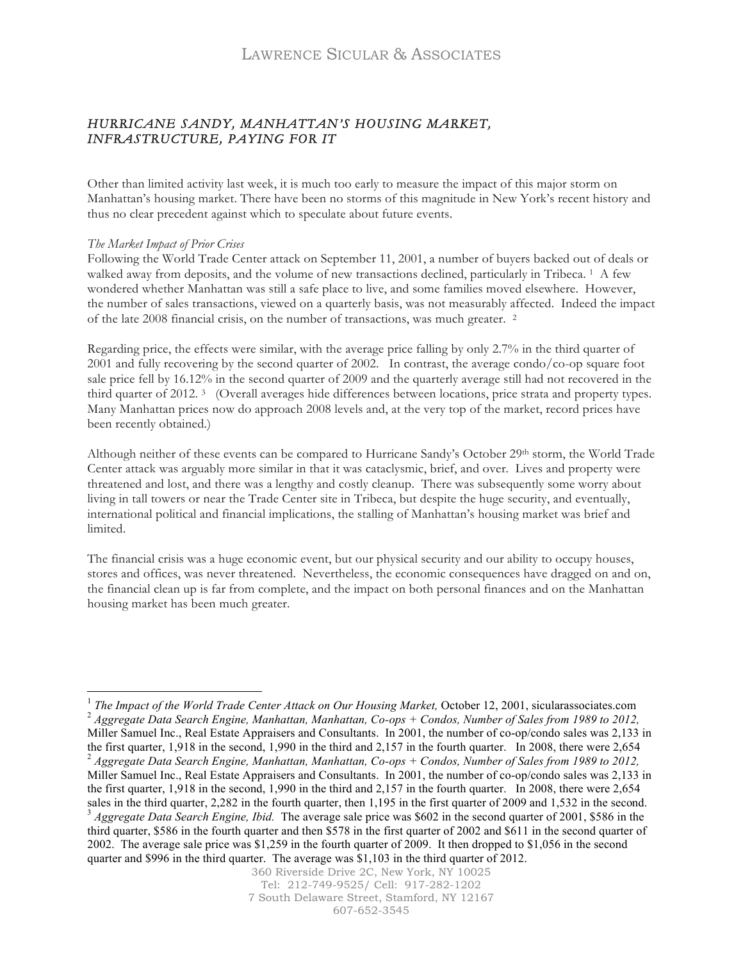### *HURRICANE SANDY, MANHATTAN'S HOUSING MARKET, INFRASTRUCTURE, PAYING FOR IT*

Other than limited activity last week, it is much too early to measure the impact of this major storm on Manhattan's housing market. There have been no storms of this magnitude in New York's recent history and thus no clear precedent against which to speculate about future events.

### *The Market Impact of Prior Crises*

Following the World Trade Center attack on September 11, 2001, a number of buyers backed out of deals or walked away from deposits, and the volume of new transactions declined, particularly in Tribeca. <sup>1</sup> A few wondered whether Manhattan was still a safe place to live, and some families moved elsewhere. However, the number of sales transactions, viewed on a quarterly basis, was not measurably affected. Indeed the impact of the late 2008 financial crisis, on the number of transactions, was much greater. 2

Regarding price, the effects were similar, with the average price falling by only 2.7% in the third quarter of 2001 and fully recovering by the second quarter of 2002. In contrast, the average condo/co-op square foot sale price fell by 16.12% in the second quarter of 2009 and the quarterly average still had not recovered in the third quarter of 2012. 3 (Overall averages hide differences between locations, price strata and property types. Many Manhattan prices now do approach 2008 levels and, at the very top of the market, record prices have been recently obtained.)

Although neither of these events can be compared to Hurricane Sandy's October 29th storm, the World Trade Center attack was arguably more similar in that it was cataclysmic, brief, and over. Lives and property were threatened and lost, and there was a lengthy and costly cleanup. There was subsequently some worry about living in tall towers or near the Trade Center site in Tribeca, but despite the huge security, and eventually, international political and financial implications, the stalling of Manhattan's housing market was brief and limited.

The financial crisis was a huge economic event, but our physical security and our ability to occupy houses, stores and offices, was never threatened. Nevertheless, the economic consequences have dragged on and on, the financial clean up is far from complete, and the impact on both personal finances and on the Manhattan housing market has been much greater.

<sup>&</sup>lt;sup>1</sup> The Impact of the World Trade Center Attack on Our Housing Market, October 12, 2001, sicularassociates.com<br><sup>2</sup> Aggregate Data Search Engine, Manhattan, Manhattan, Co-ops + Condos, Number of Sales from 1989 to 2012, Miller Samuel Inc., Real Estate Appraisers and Consultants. In 2001, the number of co-op/condo sales was 2,133 in the first quarter, 1,918 in the second, 1,990 in the third and 2,157 in the fourth quarter. In 2008, there were 2,654 <sup>2</sup> *Aggregate Data Search Engine, Manhattan, Manhattan, Co-ops + Condos, Number of Sales from 1989 to 2012,*  Miller Samuel Inc., Real Estate Appraisers and Consultants. In 2001, the number of co-op/condo sales was 2,133 in the first quarter, 1,918 in the second, 1,990 in the third and 2,157 in the fourth quarter. In 2008, there were 2,654 sales in the third quarter, 2,282 in the fourth quarter, then 1,195 in the first quarter of 2009 and 1,532 in the second.<br><sup>3</sup> Aggregate Data Search Engine, Ibid. The average sale price was \$602 in the second quarter of 20 third quarter, \$586 in the fourth quarter and then \$578 in the first quarter of 2002 and \$611 in the second quarter of 2002. The average sale price was \$1,259 in the fourth quarter of 2009. It then dropped to \$1,056 in the second quarter and \$996 in the third quarter. The average was \$1,103 in the third quarter of 2012.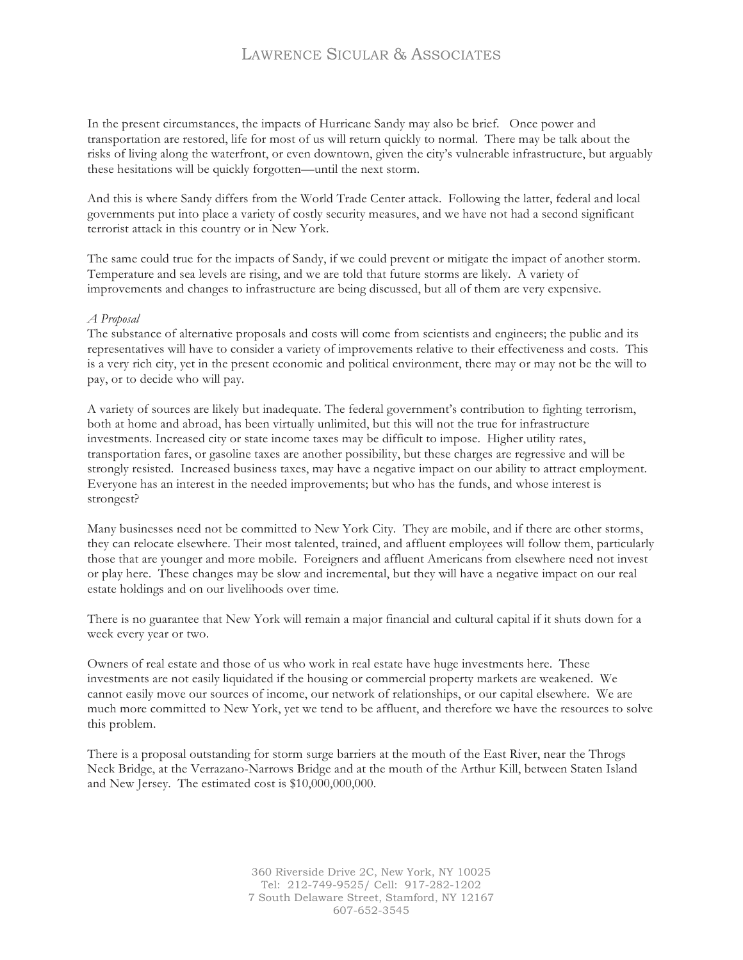## LAWRENCE SICULAR & ASSOCIATES

In the present circumstances, the impacts of Hurricane Sandy may also be brief. Once power and transportation are restored, life for most of us will return quickly to normal. There may be talk about the risks of living along the waterfront, or even downtown, given the city's vulnerable infrastructure, but arguably these hesitations will be quickly forgotten—until the next storm.

And this is where Sandy differs from the World Trade Center attack. Following the latter, federal and local governments put into place a variety of costly security measures, and we have not had a second significant terrorist attack in this country or in New York.

The same could true for the impacts of Sandy, if we could prevent or mitigate the impact of another storm. Temperature and sea levels are rising, and we are told that future storms are likely. A variety of improvements and changes to infrastructure are being discussed, but all of them are very expensive.

#### *A Proposal*

The substance of alternative proposals and costs will come from scientists and engineers; the public and its representatives will have to consider a variety of improvements relative to their effectiveness and costs. This is a very rich city, yet in the present economic and political environment, there may or may not be the will to pay, or to decide who will pay.

A variety of sources are likely but inadequate. The federal government's contribution to fighting terrorism, both at home and abroad, has been virtually unlimited, but this will not the true for infrastructure investments. Increased city or state income taxes may be difficult to impose. Higher utility rates, transportation fares, or gasoline taxes are another possibility, but these charges are regressive and will be strongly resisted. Increased business taxes, may have a negative impact on our ability to attract employment. Everyone has an interest in the needed improvements; but who has the funds, and whose interest is strongest?

Many businesses need not be committed to New York City. They are mobile, and if there are other storms, they can relocate elsewhere. Their most talented, trained, and affluent employees will follow them, particularly those that are younger and more mobile. Foreigners and affluent Americans from elsewhere need not invest or play here. These changes may be slow and incremental, but they will have a negative impact on our real estate holdings and on our livelihoods over time.

There is no guarantee that New York will remain a major financial and cultural capital if it shuts down for a week every year or two.

Owners of real estate and those of us who work in real estate have huge investments here. These investments are not easily liquidated if the housing or commercial property markets are weakened. We cannot easily move our sources of income, our network of relationships, or our capital elsewhere. We are much more committed to New York, yet we tend to be affluent, and therefore we have the resources to solve this problem.

There is a proposal outstanding for storm surge barriers at the mouth of the East River, near the Throgs Neck Bridge, at the Verrazano-Narrows Bridge and at the mouth of the Arthur Kill, between Staten Island and New Jersey. The estimated cost is \$10,000,000,000.

> 360 Riverside Drive 2C, New York, NY 10025 Tel: 212-749-9525/ Cell: 917-282-1202 7 South Delaware Street, Stamford, NY 12167 607-652-3545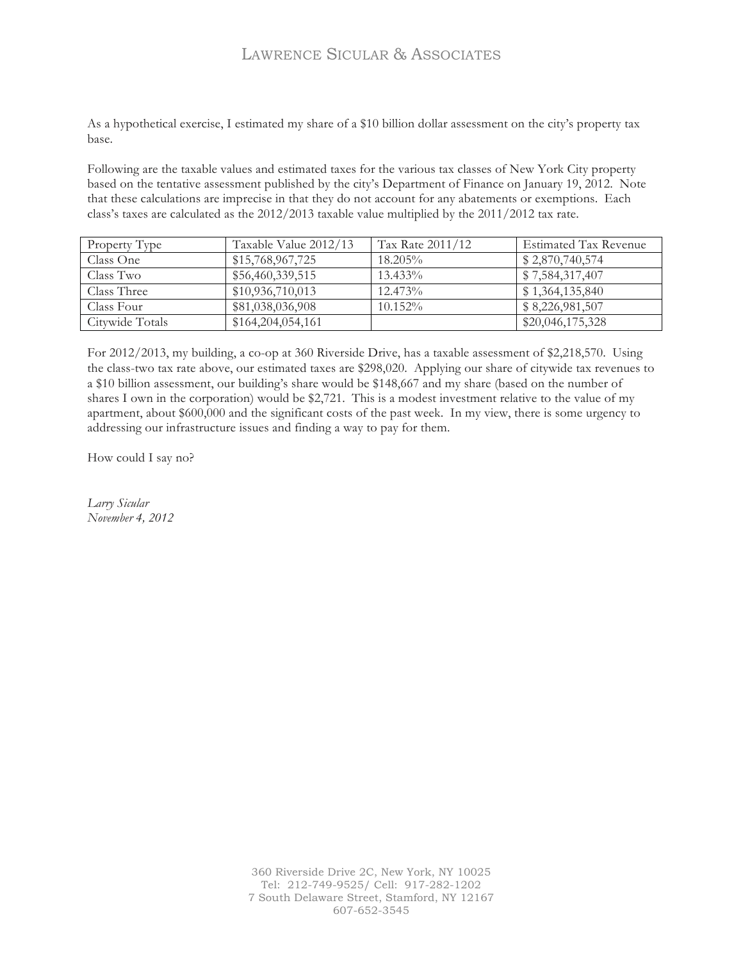# LAWRENCE SICULAR & ASSOCIATES

As a hypothetical exercise, I estimated my share of a \$10 billion dollar assessment on the city's property tax base.

Following are the taxable values and estimated taxes for the various tax classes of New York City property based on the tentative assessment published by the city's Department of Finance on January 19, 2012. Note that these calculations are imprecise in that they do not account for any abatements or exemptions. Each class's taxes are calculated as the 2012/2013 taxable value multiplied by the 2011/2012 tax rate.

| Property Type   | Taxable Value 2012/13 | Tax Rate 2011/12 | <b>Estimated Tax Revenue</b> |
|-----------------|-----------------------|------------------|------------------------------|
| Class One       | \$15,768,967,725      | $18.205\%$       | \$2,870,740,574              |
| Class Two       | \$56,460,339,515      | $13.433\%$       | \$7,584,317,407              |
| Class Three     | \$10,936,710,013      | $12.473\%$       | \$1,364,135,840              |
| Class Four      | \$81,038,036,908      | 10.152%          | \$8,226,981,507              |
| Citywide Totals | \$164,204,054,161     |                  | \$20,046,175,328             |

For 2012/2013, my building, a co-op at 360 Riverside Drive, has a taxable assessment of \$2,218,570. Using the class-two tax rate above, our estimated taxes are \$298,020. Applying our share of citywide tax revenues to a \$10 billion assessment, our building's share would be \$148,667 and my share (based on the number of shares I own in the corporation) would be \$2,721. This is a modest investment relative to the value of my apartment, about \$600,000 and the significant costs of the past week. In my view, there is some urgency to addressing our infrastructure issues and finding a way to pay for them.

How could I say no?

*Larry Sicular November 4, 2012*